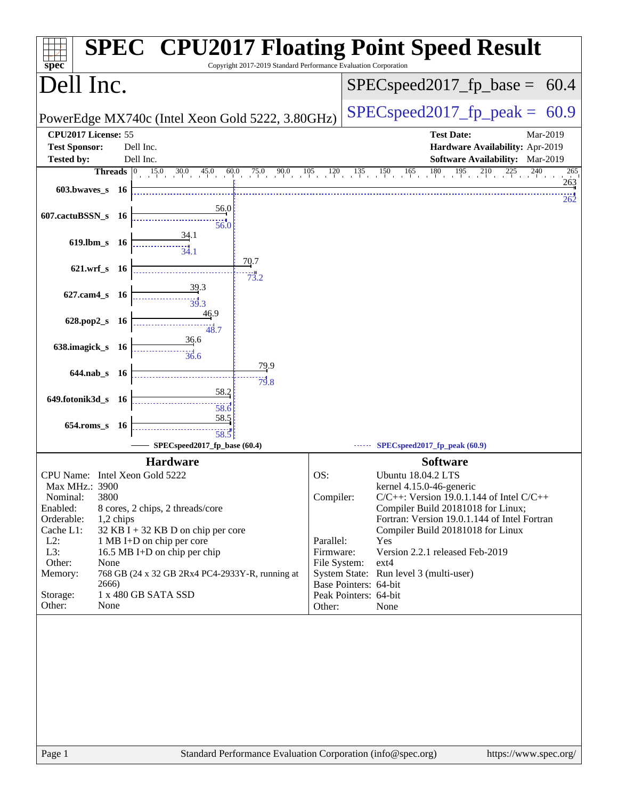| spec <sup>®</sup>                           |           | <b>SPEC<sup>®</sup> CPU2017 Floating Point Speed Result</b><br>Copyright 2017-2019 Standard Performance Evaluation Corporation |              |                                                                           |
|---------------------------------------------|-----------|--------------------------------------------------------------------------------------------------------------------------------|--------------|---------------------------------------------------------------------------|
| Dell Inc.                                   |           |                                                                                                                                |              | $SPEC speed2017_fp\_base =$<br>60.4                                       |
|                                             |           | PowerEdge MX740c (Intel Xeon Gold 5222, 3.80GHz)                                                                               |              | $SPEC speed2017fp peak =$<br>60.9                                         |
| CPU2017 License: 55<br><b>Test Sponsor:</b> |           | Dell Inc.                                                                                                                      |              | <b>Test Date:</b><br>Mar-2019<br>Hardware Availability: Apr-2019          |
| <b>Tested by:</b>                           |           | Dell Inc.                                                                                                                      |              | Software Availability: Mar-2019                                           |
| Threads $ 0 $                               |           | $15.0$ $30.0$ $45.0$ $60.0$                                                                                                    |              | $75.0$ 90.0 105 120 135 150 165 180 195 210 225 240<br>265                |
| $603.bwaves$ 16                             |           |                                                                                                                                |              | 263<br>262                                                                |
| 607.cactuBSSN_s 16                          |           | 56.0<br>56.0                                                                                                                   |              |                                                                           |
| 619.lbm_s 16                                |           | <u>34.1</u><br>34.1                                                                                                            |              |                                                                           |
| 621.wrf_s 16                                |           | 70.7<br>73.2                                                                                                                   |              |                                                                           |
| 627.cam4_s 16                               |           | 39.3<br>39.3                                                                                                                   |              |                                                                           |
| 628.pop2_s 16                               |           | 46.9<br>48.7                                                                                                                   |              |                                                                           |
| 638.imagick_s 16                            |           | 36.6<br>36.6                                                                                                                   |              |                                                                           |
| $644$ .nab s 16                             |           | 79.9<br>79.8                                                                                                                   |              |                                                                           |
| 649.fotonik3d_s 16                          |           | <u>58.2</u><br>58.6                                                                                                            |              |                                                                           |
| $654$ .roms_s                               | - 16      | 58.5<br>58.5                                                                                                                   |              |                                                                           |
|                                             |           | SPECspeed2017_fp_base (60.4)                                                                                                   |              | SPECspeed2017_fp_peak (60.9)                                              |
|                                             |           | <b>Hardware</b>                                                                                                                |              | <b>Software</b>                                                           |
| CPU Name: Intel Xeon Gold 5222              |           |                                                                                                                                | OS:          | <b>Ubuntu 18.04.2 LTS</b>                                                 |
| Max MHz.: 3900<br>Nominal:<br>3800          |           |                                                                                                                                | Compiler:    | kernel 4.15.0-46-generic<br>$C/C++$ : Version 19.0.1.144 of Intel $C/C++$ |
| Enabled:                                    |           | 8 cores, 2 chips, 2 threads/core                                                                                               |              | Compiler Build 20181018 for Linux;                                        |
| Orderable:                                  | 1,2 chips |                                                                                                                                |              | Fortran: Version 19.0.1.144 of Intel Fortran                              |
| Cache L1:                                   |           | $32$ KB I + 32 KB D on chip per core                                                                                           |              | Compiler Build 20181018 for Linux                                         |
| $L2$ :                                      |           | 1 MB I+D on chip per core                                                                                                      | Parallel:    | Yes                                                                       |
| L3:                                         |           | 16.5 MB I+D on chip per chip                                                                                                   | Firmware:    | Version 2.2.1 released Feb-2019                                           |
| Other:<br>None<br>Memory:                   |           | 768 GB (24 x 32 GB 2Rx4 PC4-2933Y-R, running at                                                                                | File System: | ext4<br>System State: Run level 3 (multi-user)                            |
| 2666)                                       |           |                                                                                                                                |              | Base Pointers: 64-bit                                                     |
| Storage:                                    |           | 1 x 480 GB SATA SSD                                                                                                            |              | Peak Pointers: 64-bit                                                     |
| Other:<br>None                              |           |                                                                                                                                | Other:       | None                                                                      |
|                                             |           |                                                                                                                                |              |                                                                           |
|                                             |           |                                                                                                                                |              |                                                                           |
|                                             |           |                                                                                                                                |              |                                                                           |
|                                             |           |                                                                                                                                |              |                                                                           |
|                                             |           |                                                                                                                                |              |                                                                           |
|                                             |           |                                                                                                                                |              |                                                                           |
|                                             |           |                                                                                                                                |              |                                                                           |
|                                             |           |                                                                                                                                |              |                                                                           |
|                                             |           |                                                                                                                                |              |                                                                           |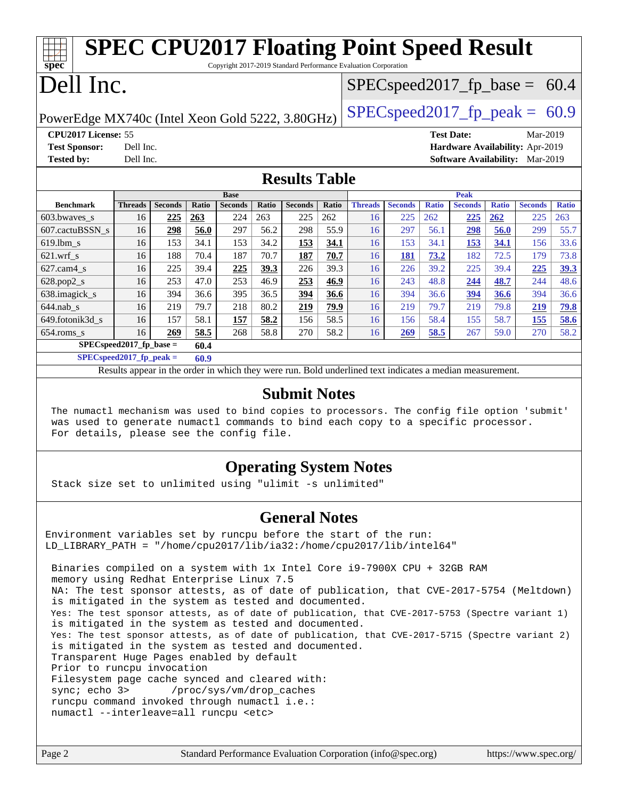| <b>SPEC CPU2017 Floating Point Speed Result</b><br>spec®<br>Copyright 2017-2019 Standard Performance Evaluation Corporation |                            |                |              |                       |              |                |              |                |                |              |                                 |              |                |                     |
|-----------------------------------------------------------------------------------------------------------------------------|----------------------------|----------------|--------------|-----------------------|--------------|----------------|--------------|----------------|----------------|--------------|---------------------------------|--------------|----------------|---------------------|
| Dell Inc.<br>$SPEC speed2017_fp\_base = 60.4$                                                                               |                            |                |              |                       |              |                |              |                |                |              |                                 |              |                |                     |
| $SPEC speed2017_fp\_peak = 60.9$<br>PowerEdge MX740c (Intel Xeon Gold 5222, 3.80GHz)                                        |                            |                |              |                       |              |                |              |                |                |              |                                 |              |                |                     |
| CPU2017 License: 55                                                                                                         |                            |                |              |                       |              |                |              |                |                |              | <b>Test Date:</b>               |              | Mar-2019       |                     |
| <b>Test Sponsor:</b>                                                                                                        | Dell Inc.                  |                |              |                       |              |                |              |                |                |              | Hardware Availability: Apr-2019 |              |                |                     |
| <b>Tested by:</b>                                                                                                           | Dell Inc.                  |                |              |                       |              |                |              |                |                |              | <b>Software Availability:</b>   |              | Mar-2019       |                     |
| <b>Results Table</b>                                                                                                        |                            |                |              |                       |              |                |              |                |                |              |                                 |              |                |                     |
| <b>Benchmark</b>                                                                                                            | <b>Threads</b>             | <b>Seconds</b> | <b>Ratio</b> | <b>Base</b>           |              | <b>Seconds</b> | <b>Ratio</b> | <b>Threads</b> | <b>Seconds</b> | <b>Ratio</b> | Peak                            |              | <b>Seconds</b> |                     |
| 603.bwayes s                                                                                                                | 16                         | 225            |              | <b>Seconds</b><br>224 | Ratio<br>263 | 225            | 262          | 16             | 225            | 262          | <b>Seconds</b>                  | <b>Ratio</b> | 225            | <b>Ratio</b><br>263 |
| 607.cactuBSSN s                                                                                                             | 16                         | 298            | 263<br>56.0  | 297                   | 56.2         | 298            | 55.9         | 16             | 297            | 56.1         | 225<br>298                      | 262<br>56.0  | 299            | 55.7                |
| 619.lbm s                                                                                                                   | 16                         | 153            | 34.1         | 153                   | 34.2         | 153            | 34.1         | 16             | 153            | 34.1         | 153                             | 34.1         | 156            | 33.6                |
| $621.wrf$ s                                                                                                                 | 16                         | 188            | 70.4         | 187                   | 70.7         | 187            | 70.7         | 16             | 181            | 73.2         | 182                             | 72.5         | 179            | 73.8                |
| $627.cam4_s$                                                                                                                | 16                         | 225            | 39.4         | 225                   | 39.3         | 226            | 39.3         | 16             | 226            | 39.2         | 225                             | 39.4         | 225            | 39.3                |
| 628.pop2_s                                                                                                                  | 16                         | 253            | 47.0         | 253                   | 46.9         | 253            | 46.9         | 16             | 243            | 48.8         | 244                             | 48.7         | 244            | 48.6                |
| 638.imagick_s                                                                                                               | 16                         | 394            | 36.6         | 395                   | 36.5         | 394            | 36.6         | 16             | 394            | 36.6         | 394                             | 36.6         | 394            | 36.6                |
|                                                                                                                             |                            |                |              |                       |              |                |              |                | 219            |              |                                 | 79.8         |                | 79.8                |
|                                                                                                                             |                            |                |              |                       |              |                |              |                |                |              |                                 |              |                |                     |
| $644$ .nab s                                                                                                                | 16                         | 219            | 79.7         | 218                   | 80.2         | 219            | 79.9         | 16             |                | 79.7         | 219                             |              | 219            |                     |
| 649.fotonik3d s                                                                                                             | 16<br>16                   | 157            | 58.1         | 157                   | 58.2         | 156            | 58.5         | 16             | 156            | 58.4         | 155<br>267                      | 58.7         | <b>155</b>     | 58.6                |
| 654.roms_s                                                                                                                  | $SPEC speed2017$ fp base = | 269            | 58.5<br>60.4 | 268                   | 58.8         | 270            | 58.2         | 16             | 269            | 58.5         |                                 | 59.0         | 270            | 58.2                |

Results appear in the [order in which they were run.](http://www.spec.org/auto/cpu2017/Docs/result-fields.html#RunOrder) Bold underlined text [indicates a median measurement](http://www.spec.org/auto/cpu2017/Docs/result-fields.html#Median).

#### **[Submit Notes](http://www.spec.org/auto/cpu2017/Docs/result-fields.html#SubmitNotes)**

 The numactl mechanism was used to bind copies to processors. The config file option 'submit' was used to generate numactl commands to bind each copy to a specific processor. For details, please see the config file.

#### **[Operating System Notes](http://www.spec.org/auto/cpu2017/Docs/result-fields.html#OperatingSystemNotes)**

Stack size set to unlimited using "ulimit -s unlimited"

#### **[General Notes](http://www.spec.org/auto/cpu2017/Docs/result-fields.html#GeneralNotes)**

Environment variables set by runcpu before the start of the run: LD LIBRARY PATH = "/home/cpu2017/lib/ia32:/home/cpu2017/lib/intel64"

 Binaries compiled on a system with 1x Intel Core i9-7900X CPU + 32GB RAM memory using Redhat Enterprise Linux 7.5 NA: The test sponsor attests, as of date of publication, that CVE-2017-5754 (Meltdown) is mitigated in the system as tested and documented. Yes: The test sponsor attests, as of date of publication, that CVE-2017-5753 (Spectre variant 1) is mitigated in the system as tested and documented. Yes: The test sponsor attests, as of date of publication, that CVE-2017-5715 (Spectre variant 2) is mitigated in the system as tested and documented. Transparent Huge Pages enabled by default Prior to runcpu invocation Filesystem page cache synced and cleared with: sync; echo 3> /proc/sys/vm/drop\_caches runcpu command invoked through numactl i.e.: numactl --interleave=all runcpu <etc>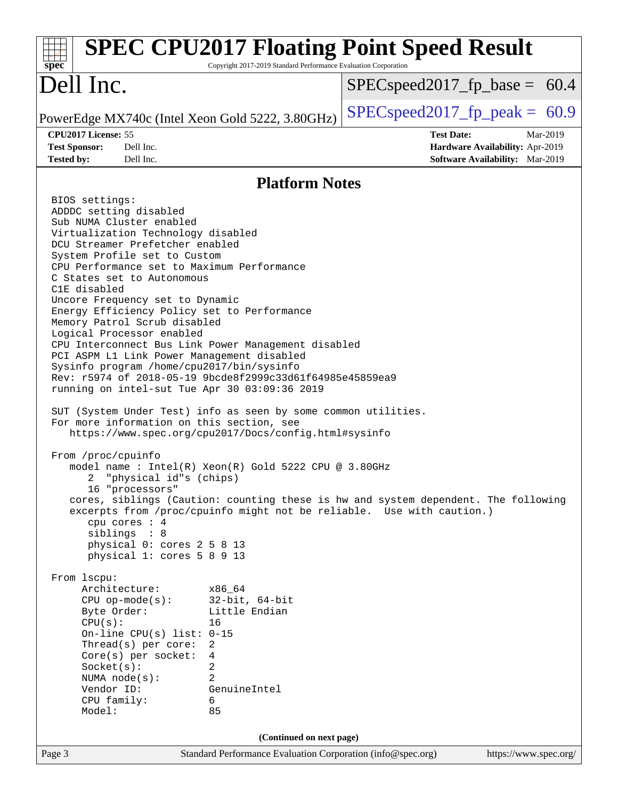| spec <sup>®</sup>                                                                                                                                                                                                                                                                                                                                                                                                                                                                                                                                                                                                                                                                                                                                                                                                                                                                                                                                                                                                                                                                                                                                                                                                                                                                                                                        | Copyright 2017-2019 Standard Performance Evaluation Corporation                                      | <b>SPEC CPU2017 Floating Point Speed Result</b>                                                                                                             |
|------------------------------------------------------------------------------------------------------------------------------------------------------------------------------------------------------------------------------------------------------------------------------------------------------------------------------------------------------------------------------------------------------------------------------------------------------------------------------------------------------------------------------------------------------------------------------------------------------------------------------------------------------------------------------------------------------------------------------------------------------------------------------------------------------------------------------------------------------------------------------------------------------------------------------------------------------------------------------------------------------------------------------------------------------------------------------------------------------------------------------------------------------------------------------------------------------------------------------------------------------------------------------------------------------------------------------------------|------------------------------------------------------------------------------------------------------|-------------------------------------------------------------------------------------------------------------------------------------------------------------|
| Dell Inc.                                                                                                                                                                                                                                                                                                                                                                                                                                                                                                                                                                                                                                                                                                                                                                                                                                                                                                                                                                                                                                                                                                                                                                                                                                                                                                                                |                                                                                                      | $SPEC speed2017_f p\_base = 60.4$                                                                                                                           |
| PowerEdge MX740c (Intel Xeon Gold 5222, 3.80GHz)                                                                                                                                                                                                                                                                                                                                                                                                                                                                                                                                                                                                                                                                                                                                                                                                                                                                                                                                                                                                                                                                                                                                                                                                                                                                                         |                                                                                                      | $SPEC speed2017fp peak = 60.9$                                                                                                                              |
| CPU2017 License: 55<br><b>Test Sponsor:</b><br>Dell Inc.<br><b>Tested by:</b><br>Dell Inc.                                                                                                                                                                                                                                                                                                                                                                                                                                                                                                                                                                                                                                                                                                                                                                                                                                                                                                                                                                                                                                                                                                                                                                                                                                               |                                                                                                      | <b>Test Date:</b><br>Mar-2019<br>Hardware Availability: Apr-2019<br>Software Availability: Mar-2019                                                         |
|                                                                                                                                                                                                                                                                                                                                                                                                                                                                                                                                                                                                                                                                                                                                                                                                                                                                                                                                                                                                                                                                                                                                                                                                                                                                                                                                          | <b>Platform Notes</b>                                                                                |                                                                                                                                                             |
| BIOS settings:<br>ADDDC setting disabled<br>Sub NUMA Cluster enabled<br>Virtualization Technology disabled<br>DCU Streamer Prefetcher enabled<br>System Profile set to Custom<br>CPU Performance set to Maximum Performance<br>C States set to Autonomous<br>C1E disabled<br>Uncore Frequency set to Dynamic<br>Energy Efficiency Policy set to Performance<br>Memory Patrol Scrub disabled<br>Logical Processor enabled<br>CPU Interconnect Bus Link Power Management disabled<br>PCI ASPM L1 Link Power Management disabled<br>Sysinfo program /home/cpu2017/bin/sysinfo<br>Rev: r5974 of 2018-05-19 9bcde8f2999c33d61f64985e45859ea9<br>running on intel-sut Tue Apr 30 03:09:36 2019<br>SUT (System Under Test) info as seen by some common utilities.<br>For more information on this section, see<br>https://www.spec.org/cpu2017/Docs/config.html#sysinfo<br>From /proc/cpuinfo<br>model name: Intel(R) Xeon(R) Gold 5222 CPU @ 3.80GHz<br>"physical id"s (chips)<br>2<br>16 "processors"<br>cpu cores : 4<br>siblings : 8<br>physical 0: cores 2 5 8 13<br>physical 1: cores 5 8 9 13<br>From lscpu:<br>Architecture:<br>$CPU$ op-mode( $s$ ):<br>Byte Order:<br>CPU(s):<br>On-line CPU(s) list: $0-15$<br>Thread(s) per core:<br>$Core(s)$ per socket:<br>Socket(s):<br>NUMA $node(s)$ :<br>Vendor ID:<br>CPU family:<br>Model: | x86 64<br>$32$ -bit, $64$ -bit<br>Little Endian<br>16<br>2<br>4<br>2<br>2<br>GenuineIntel<br>6<br>85 | cores, siblings (Caution: counting these is hw and system dependent. The following<br>excerpts from /proc/cpuinfo might not be reliable. Use with caution.) |
|                                                                                                                                                                                                                                                                                                                                                                                                                                                                                                                                                                                                                                                                                                                                                                                                                                                                                                                                                                                                                                                                                                                                                                                                                                                                                                                                          | (Continued on next page)                                                                             |                                                                                                                                                             |
| Page 3                                                                                                                                                                                                                                                                                                                                                                                                                                                                                                                                                                                                                                                                                                                                                                                                                                                                                                                                                                                                                                                                                                                                                                                                                                                                                                                                   | Standard Performance Evaluation Corporation (info@spec.org)                                          | https://www.spec.org/                                                                                                                                       |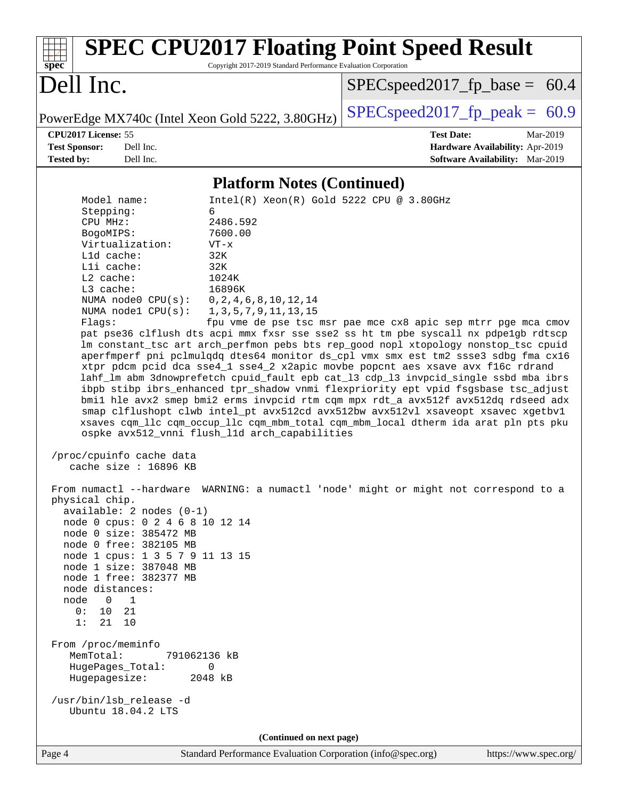| <b>SPEC CPU2017 Floating Point Speed Result</b><br>Copyright 2017-2019 Standard Performance Evaluation Corporation<br>$spec*$                                                                                                                                                                                                                                                                                                                                                                                                                                                                                                                                                                                                                                                                                                                                                                                                                                                                                                                                                                                                                                                                                                                                                                                                                                                                                                                                                                                                                                                                                                                                                                                                                                                                                         |                                                                                                           |
|-----------------------------------------------------------------------------------------------------------------------------------------------------------------------------------------------------------------------------------------------------------------------------------------------------------------------------------------------------------------------------------------------------------------------------------------------------------------------------------------------------------------------------------------------------------------------------------------------------------------------------------------------------------------------------------------------------------------------------------------------------------------------------------------------------------------------------------------------------------------------------------------------------------------------------------------------------------------------------------------------------------------------------------------------------------------------------------------------------------------------------------------------------------------------------------------------------------------------------------------------------------------------------------------------------------------------------------------------------------------------------------------------------------------------------------------------------------------------------------------------------------------------------------------------------------------------------------------------------------------------------------------------------------------------------------------------------------------------------------------------------------------------------------------------------------------------|-----------------------------------------------------------------------------------------------------------|
| Dell Inc.                                                                                                                                                                                                                                                                                                                                                                                                                                                                                                                                                                                                                                                                                                                                                                                                                                                                                                                                                                                                                                                                                                                                                                                                                                                                                                                                                                                                                                                                                                                                                                                                                                                                                                                                                                                                             | $SPEC speed2017_f p\_base = 60.4$                                                                         |
| PowerEdge MX740c (Intel Xeon Gold 5222, 3.80GHz)                                                                                                                                                                                                                                                                                                                                                                                                                                                                                                                                                                                                                                                                                                                                                                                                                                                                                                                                                                                                                                                                                                                                                                                                                                                                                                                                                                                                                                                                                                                                                                                                                                                                                                                                                                      | $SPEC speed2017fp peak = 60.9$                                                                            |
| CPU2017 License: 55<br>Dell Inc.<br><b>Test Sponsor:</b><br>Dell Inc.<br><b>Tested by:</b>                                                                                                                                                                                                                                                                                                                                                                                                                                                                                                                                                                                                                                                                                                                                                                                                                                                                                                                                                                                                                                                                                                                                                                                                                                                                                                                                                                                                                                                                                                                                                                                                                                                                                                                            | <b>Test Date:</b><br>Mar-2019<br>Hardware Availability: Apr-2019<br>Software Availability: Mar-2019       |
| <b>Platform Notes (Continued)</b>                                                                                                                                                                                                                                                                                                                                                                                                                                                                                                                                                                                                                                                                                                                                                                                                                                                                                                                                                                                                                                                                                                                                                                                                                                                                                                                                                                                                                                                                                                                                                                                                                                                                                                                                                                                     |                                                                                                           |
| Model name:<br>Stepping:<br>6<br>CPU MHz:<br>2486.592<br>7600.00<br>BogoMIPS:<br>Virtualization:<br>$VT - x$<br>L1d cache:<br>32K<br>$L1i$ cache:<br>32K<br>L2 cache:<br>1024K<br>16896K<br>L3 cache:<br>NUMA $node0$ $CPU(s)$ :<br>0, 2, 4, 6, 8, 10, 12, 14<br>NUMA nodel CPU(s):<br>1, 3, 5, 7, 9, 11, 13, 15<br>Flagg:<br>pat pse36 clflush dts acpi mmx fxsr sse sse2 ss ht tm pbe syscall nx pdpe1gb rdtscp<br>lm constant_tsc art arch_perfmon pebs bts rep_good nopl xtopology nonstop_tsc cpuid<br>aperfmperf pni pclmulqdq dtes64 monitor ds_cpl vmx smx est tm2 ssse3 sdbg fma cx16<br>xtpr pdcm pcid dca sse4_1 sse4_2 x2apic movbe popcnt aes xsave avx f16c rdrand<br>lahf_lm abm 3dnowprefetch cpuid_fault epb cat_13 cdp_13 invpcid_single ssbd mba ibrs<br>ibpb stibp ibrs_enhanced tpr_shadow vnmi flexpriority ept vpid fsgsbase tsc_adjust<br>bmil hle avx2 smep bmi2 erms invpcid rtm cqm mpx rdt_a avx512f avx512dq rdseed adx<br>smap clflushopt clwb intel_pt avx512cd avx512bw avx512vl xsaveopt xsavec xgetbvl<br>xsaves cqm_llc cqm_occup_llc cqm_mbm_total cqm_mbm_local dtherm ida arat pln pts pku<br>ospke avx512_vnni flush_11d arch_capabilities<br>/proc/cpuinfo cache data<br>cache size : $16896$ KB<br>From numactl --hardware WARNING: a numactl 'node' might or might not correspond to a<br>physical chip.<br>$available: 2 nodes (0-1)$<br>node 0 cpus: 0 2 4 6 8 10 12 14<br>node 0 size: 385472 MB<br>node 0 free: 382105 MB<br>node 1 cpus: 1 3 5 7 9 11 13 15<br>node 1 size: 387048 MB<br>node 1 free: 382377 MB<br>node distances:<br>$\overline{0}$<br>$\mathbf{1}$<br>node<br>0:<br>10 21<br>1:<br>21<br>10<br>From /proc/meminfo<br>MemTotal:<br>791062136 kB<br>HugePages_Total:<br>0<br>Hugepagesize:<br>2048 kB<br>/usr/bin/lsb_release -d<br>Ubuntu 18.04.2 LTS | Intel(R) Xeon(R) Gold 5222 CPU @ 3.80GHz<br>fpu vme de pse tsc msr pae mce cx8 apic sep mtrr pge mca cmov |
| (Continued on next page)                                                                                                                                                                                                                                                                                                                                                                                                                                                                                                                                                                                                                                                                                                                                                                                                                                                                                                                                                                                                                                                                                                                                                                                                                                                                                                                                                                                                                                                                                                                                                                                                                                                                                                                                                                                              |                                                                                                           |
| Standard Performance Evaluation Corporation (info@spec.org)<br>Page 4                                                                                                                                                                                                                                                                                                                                                                                                                                                                                                                                                                                                                                                                                                                                                                                                                                                                                                                                                                                                                                                                                                                                                                                                                                                                                                                                                                                                                                                                                                                                                                                                                                                                                                                                                 | https://www.spec.org/                                                                                     |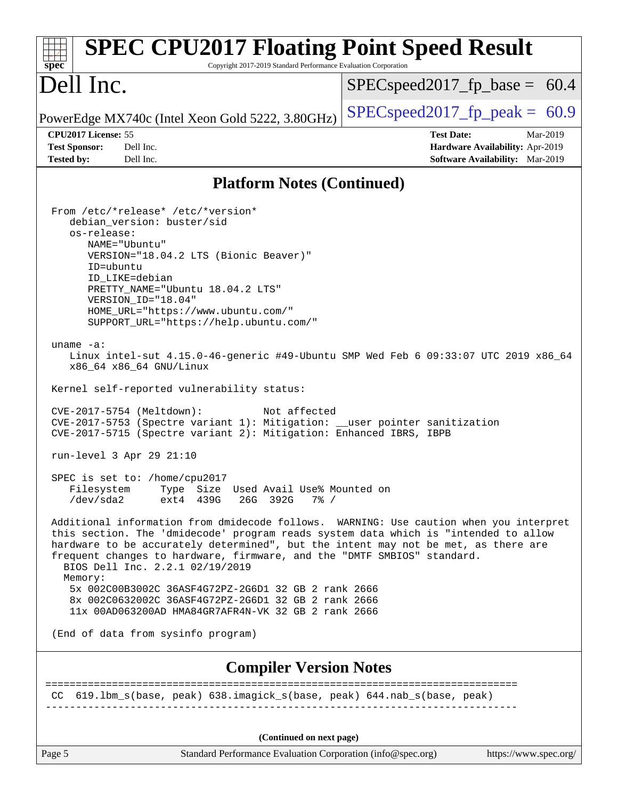| <b>SPEC CPU2017 Floating Point Speed Result</b><br>spec <sup>®</sup><br>Copyright 2017-2019 Standard Performance Evaluation Corporation                                                                                                                                                                                                                                                                                                                                                                                                                                                                                                                                                                                                                                                                                                                                                                                                                                                                                                                                                                                                                                                                                                                                                                                                                                                                                                                  |                                  |
|----------------------------------------------------------------------------------------------------------------------------------------------------------------------------------------------------------------------------------------------------------------------------------------------------------------------------------------------------------------------------------------------------------------------------------------------------------------------------------------------------------------------------------------------------------------------------------------------------------------------------------------------------------------------------------------------------------------------------------------------------------------------------------------------------------------------------------------------------------------------------------------------------------------------------------------------------------------------------------------------------------------------------------------------------------------------------------------------------------------------------------------------------------------------------------------------------------------------------------------------------------------------------------------------------------------------------------------------------------------------------------------------------------------------------------------------------------|----------------------------------|
| Dell Inc.                                                                                                                                                                                                                                                                                                                                                                                                                                                                                                                                                                                                                                                                                                                                                                                                                                                                                                                                                                                                                                                                                                                                                                                                                                                                                                                                                                                                                                                | $SPEC speed2017_fp\_base = 60.4$ |
| PowerEdge MX740c (Intel Xeon Gold 5222, 3.80GHz)                                                                                                                                                                                                                                                                                                                                                                                                                                                                                                                                                                                                                                                                                                                                                                                                                                                                                                                                                                                                                                                                                                                                                                                                                                                                                                                                                                                                         | $SPEC speed2017fp peak = 60.9$   |
| CPU2017 License: 55                                                                                                                                                                                                                                                                                                                                                                                                                                                                                                                                                                                                                                                                                                                                                                                                                                                                                                                                                                                                                                                                                                                                                                                                                                                                                                                                                                                                                                      | <b>Test Date:</b><br>Mar-2019    |
| <b>Test Sponsor:</b><br>Dell Inc.                                                                                                                                                                                                                                                                                                                                                                                                                                                                                                                                                                                                                                                                                                                                                                                                                                                                                                                                                                                                                                                                                                                                                                                                                                                                                                                                                                                                                        | Hardware Availability: Apr-2019  |
| <b>Tested by:</b><br>Dell Inc.                                                                                                                                                                                                                                                                                                                                                                                                                                                                                                                                                                                                                                                                                                                                                                                                                                                                                                                                                                                                                                                                                                                                                                                                                                                                                                                                                                                                                           | Software Availability: Mar-2019  |
| <b>Platform Notes (Continued)</b>                                                                                                                                                                                                                                                                                                                                                                                                                                                                                                                                                                                                                                                                                                                                                                                                                                                                                                                                                                                                                                                                                                                                                                                                                                                                                                                                                                                                                        |                                  |
| From /etc/*release* /etc/*version*<br>debian_version: buster/sid<br>os-release:<br>NAME="Ubuntu"<br>VERSION="18.04.2 LTS (Bionic Beaver)"<br>ID=ubuntu<br>ID LIKE=debian<br>PRETTY_NAME="Ubuntu 18.04.2 LTS"<br>VERSION ID="18.04"<br>HOME_URL="https://www.ubuntu.com/"<br>SUPPORT_URL="https://help.ubuntu.com/"<br>uname $-a$ :<br>Linux intel-sut 4.15.0-46-generic #49-Ubuntu SMP Wed Feb 6 09:33:07 UTC 2019 x86_64<br>x86_64 x86_64 GNU/Linux<br>Kernel self-reported vulnerability status:<br>CVE-2017-5754 (Meltdown):<br>Not affected<br>CVE-2017-5753 (Spectre variant 1): Mitigation: __user pointer sanitization<br>CVE-2017-5715 (Spectre variant 2): Mitigation: Enhanced IBRS, IBPB<br>run-level 3 Apr 29 21:10<br>SPEC is set to: /home/cpu2017<br>Type Size Used Avail Use% Mounted on<br>Filesystem<br>/dev/sda2<br>ext4 439G<br>26G<br>392G<br>$7\frac{6}{9}$ /<br>Additional information from dmidecode follows. WARNING: Use caution when you interpret<br>this section. The 'dmidecode' program reads system data which is "intended to allow<br>hardware to be accurately determined", but the intent may not be met, as there are<br>frequent changes to hardware, firmware, and the "DMTF SMBIOS" standard.<br>BIOS Dell Inc. 2.2.1 02/19/2019<br>Memory:<br>5x 002C00B3002C 36ASF4G72PZ-2G6D1 32 GB 2 rank 2666<br>8x 002C0632002C 36ASF4G72PZ-2G6D1 32 GB 2 rank 2666<br>11x 00AD063200AD HMA84GR7AFR4N-VK 32 GB 2 rank 2666 |                                  |
| (End of data from sysinfo program)                                                                                                                                                                                                                                                                                                                                                                                                                                                                                                                                                                                                                                                                                                                                                                                                                                                                                                                                                                                                                                                                                                                                                                                                                                                                                                                                                                                                                       |                                  |
| <b>Compiler Version Notes</b>                                                                                                                                                                                                                                                                                                                                                                                                                                                                                                                                                                                                                                                                                                                                                                                                                                                                                                                                                                                                                                                                                                                                                                                                                                                                                                                                                                                                                            | =======================          |
| CC 619.1bm_s(base, peak) 638.imagick_s(base, peak) 644.nab_s(base, peak)                                                                                                                                                                                                                                                                                                                                                                                                                                                                                                                                                                                                                                                                                                                                                                                                                                                                                                                                                                                                                                                                                                                                                                                                                                                                                                                                                                                 |                                  |
| (Continued on next page)                                                                                                                                                                                                                                                                                                                                                                                                                                                                                                                                                                                                                                                                                                                                                                                                                                                                                                                                                                                                                                                                                                                                                                                                                                                                                                                                                                                                                                 |                                  |
| Page 5<br>Standard Performance Evaluation Corporation (info@spec.org)                                                                                                                                                                                                                                                                                                                                                                                                                                                                                                                                                                                                                                                                                                                                                                                                                                                                                                                                                                                                                                                                                                                                                                                                                                                                                                                                                                                    | https://www.spec.org/            |
|                                                                                                                                                                                                                                                                                                                                                                                                                                                                                                                                                                                                                                                                                                                                                                                                                                                                                                                                                                                                                                                                                                                                                                                                                                                                                                                                                                                                                                                          |                                  |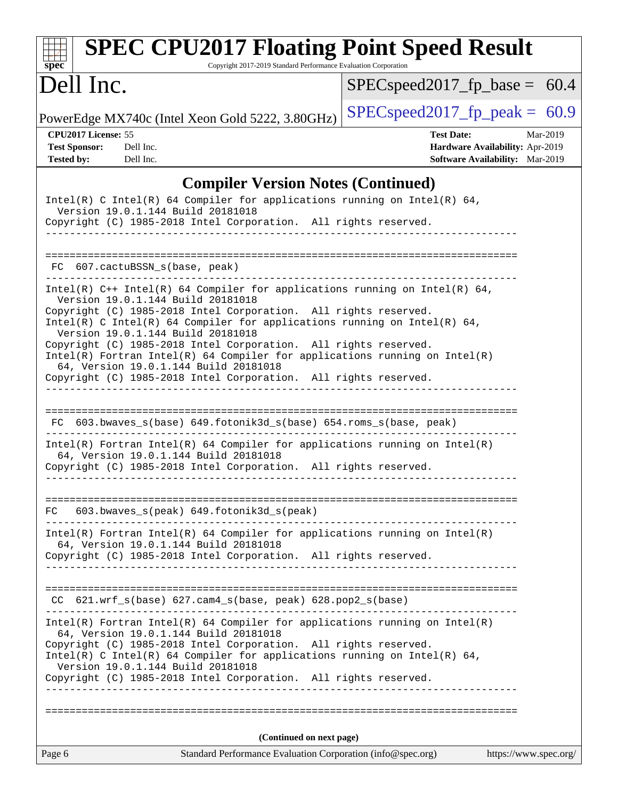| <b>SPEC CPU2017 Floating Point Speed Result</b><br>Copyright 2017-2019 Standard Performance Evaluation Corporation<br>$spec^*$                                                                                                                                                                                                                                                                                                                                                                                                                                       |                                                                                                            |
|----------------------------------------------------------------------------------------------------------------------------------------------------------------------------------------------------------------------------------------------------------------------------------------------------------------------------------------------------------------------------------------------------------------------------------------------------------------------------------------------------------------------------------------------------------------------|------------------------------------------------------------------------------------------------------------|
| Dell Inc.                                                                                                                                                                                                                                                                                                                                                                                                                                                                                                                                                            | $SPEC speed2017_fp\_base = 60.4$                                                                           |
| PowerEdge MX740c (Intel Xeon Gold 5222, 3.80GHz)                                                                                                                                                                                                                                                                                                                                                                                                                                                                                                                     | $SPEC speed2017fp peak = 60.9$                                                                             |
| CPU2017 License: 55<br><b>Test Sponsor:</b><br>Dell Inc.<br><b>Tested by:</b><br>Dell Inc.                                                                                                                                                                                                                                                                                                                                                                                                                                                                           | <b>Test Date:</b><br>Mar-2019<br>Hardware Availability: Apr-2019<br><b>Software Availability:</b> Mar-2019 |
| <b>Compiler Version Notes (Continued)</b>                                                                                                                                                                                                                                                                                                                                                                                                                                                                                                                            |                                                                                                            |
| Intel(R) C Intel(R) 64 Compiler for applications running on Intel(R) 64,<br>Version 19.0.1.144 Build 20181018<br>Copyright (C) 1985-2018 Intel Corporation. All rights reserved.                                                                                                                                                                                                                                                                                                                                                                                     |                                                                                                            |
| FC 607.cactuBSSN_s(base, peak)                                                                                                                                                                                                                                                                                                                                                                                                                                                                                                                                       |                                                                                                            |
| Intel(R) $C++$ Intel(R) 64 Compiler for applications running on Intel(R) 64,<br>Version 19.0.1.144 Build 20181018<br>Copyright (C) 1985-2018 Intel Corporation. All rights reserved.<br>Intel(R) C Intel(R) 64 Compiler for applications running on Intel(R) 64,<br>Version 19.0.1.144 Build 20181018<br>Copyright (C) 1985-2018 Intel Corporation. All rights reserved.<br>$Intel(R)$ Fortran Intel(R) 64 Compiler for applications running on Intel(R)<br>64, Version 19.0.1.144 Build 20181018<br>Copyright (C) 1985-2018 Intel Corporation. All rights reserved. |                                                                                                            |
| 603.bwaves_s(base) 649.fotonik3d_s(base) 654.roms_s(base, peak)<br>FC.                                                                                                                                                                                                                                                                                                                                                                                                                                                                                               |                                                                                                            |
| $Intel(R)$ Fortran Intel(R) 64 Compiler for applications running on Intel(R)<br>64, Version 19.0.1.144 Build 20181018<br>Copyright (C) 1985-2018 Intel Corporation. All rights reserved.                                                                                                                                                                                                                                                                                                                                                                             |                                                                                                            |
| 603.bwaves_s(peak) 649.fotonik3d_s(peak)<br>FC                                                                                                                                                                                                                                                                                                                                                                                                                                                                                                                       |                                                                                                            |
| $Intel(R)$ Fortran Intel(R) 64 Compiler for applications running on Intel(R)<br>64, Version 19.0.1.144 Build 20181018<br>Copyright (C) 1985-2018 Intel Corporation. All rights reserved.                                                                                                                                                                                                                                                                                                                                                                             |                                                                                                            |
| CC 621.wrf_s(base) 627.cam4_s(base, peak) 628.pop2_s(base)                                                                                                                                                                                                                                                                                                                                                                                                                                                                                                           |                                                                                                            |
| Intel(R) Fortran Intel(R) 64 Compiler for applications running on Intel(R)<br>64, Version 19.0.1.144 Build 20181018<br>Copyright (C) 1985-2018 Intel Corporation. All rights reserved.<br>Intel(R) C Intel(R) 64 Compiler for applications running on Intel(R) 64,<br>Version 19.0.1.144 Build 20181018<br>Copyright (C) 1985-2018 Intel Corporation. All rights reserved.                                                                                                                                                                                           |                                                                                                            |
|                                                                                                                                                                                                                                                                                                                                                                                                                                                                                                                                                                      |                                                                                                            |
| (Continued on next page)                                                                                                                                                                                                                                                                                                                                                                                                                                                                                                                                             |                                                                                                            |
| Page 6<br>Standard Performance Evaluation Corporation (info@spec.org)                                                                                                                                                                                                                                                                                                                                                                                                                                                                                                | https://www.spec.org/                                                                                      |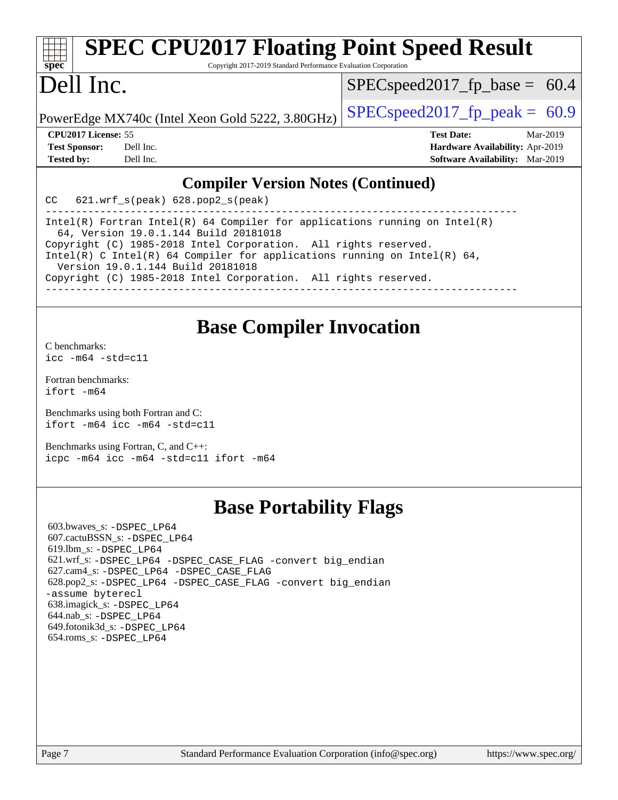| <b>SPEC CPU2017 Floating Point Speed Result</b><br>$Spec^*$<br>Copyright 2017-2019 Standard Performance Evaluation Corporation |                                  |          |
|--------------------------------------------------------------------------------------------------------------------------------|----------------------------------|----------|
| Dell Inc.                                                                                                                      | $SPEC speed2017_fp\_base = 60.4$ |          |
| PowerEdge MX740c (Intel Xeon Gold 5222, 3.80GHz)                                                                               | $SPEC speed2017_fpcak = 60.9$    |          |
| <b>CPU2017 License: 55</b>                                                                                                     | <b>Test Date:</b>                | Mar-2019 |
| <b>Test Sponsor:</b><br>Dell Inc.                                                                                              | Hardware Availability: Apr-2019  |          |

#### **[Compiler Version Notes \(Continued\)](http://www.spec.org/auto/cpu2017/Docs/result-fields.html#CompilerVersionNotes)**

**[Tested by:](http://www.spec.org/auto/cpu2017/Docs/result-fields.html#Testedby)** Dell Inc. **[Software Availability:](http://www.spec.org/auto/cpu2017/Docs/result-fields.html#SoftwareAvailability)** Mar-2019

CC 621.wrf\_s(peak) 628.pop2\_s(peak)

------------------------------------------------------------------------------ Intel(R) Fortran Intel(R) 64 Compiler for applications running on Intel(R) 64, Version 19.0.1.144 Build 20181018 Copyright (C) 1985-2018 Intel Corporation. All rights reserved. Intel(R) C Intel(R) 64 Compiler for applications running on Intel(R) 64, Version 19.0.1.144 Build 20181018 Copyright (C) 1985-2018 Intel Corporation. All rights reserved. ------------------------------------------------------------------------------

### **[Base Compiler Invocation](http://www.spec.org/auto/cpu2017/Docs/result-fields.html#BaseCompilerInvocation)**

[C benchmarks](http://www.spec.org/auto/cpu2017/Docs/result-fields.html#Cbenchmarks): [icc -m64 -std=c11](http://www.spec.org/cpu2017/results/res2019q3/cpu2017-20190624-15394.flags.html#user_CCbase_intel_icc_64bit_c11_33ee0cdaae7deeeab2a9725423ba97205ce30f63b9926c2519791662299b76a0318f32ddfffdc46587804de3178b4f9328c46fa7c2b0cd779d7a61945c91cd35)

[Fortran benchmarks](http://www.spec.org/auto/cpu2017/Docs/result-fields.html#Fortranbenchmarks): [ifort -m64](http://www.spec.org/cpu2017/results/res2019q3/cpu2017-20190624-15394.flags.html#user_FCbase_intel_ifort_64bit_24f2bb282fbaeffd6157abe4f878425411749daecae9a33200eee2bee2fe76f3b89351d69a8130dd5949958ce389cf37ff59a95e7a40d588e8d3a57e0c3fd751)

[Benchmarks using both Fortran and C](http://www.spec.org/auto/cpu2017/Docs/result-fields.html#BenchmarksusingbothFortranandC): [ifort -m64](http://www.spec.org/cpu2017/results/res2019q3/cpu2017-20190624-15394.flags.html#user_CC_FCbase_intel_ifort_64bit_24f2bb282fbaeffd6157abe4f878425411749daecae9a33200eee2bee2fe76f3b89351d69a8130dd5949958ce389cf37ff59a95e7a40d588e8d3a57e0c3fd751) [icc -m64 -std=c11](http://www.spec.org/cpu2017/results/res2019q3/cpu2017-20190624-15394.flags.html#user_CC_FCbase_intel_icc_64bit_c11_33ee0cdaae7deeeab2a9725423ba97205ce30f63b9926c2519791662299b76a0318f32ddfffdc46587804de3178b4f9328c46fa7c2b0cd779d7a61945c91cd35)

[Benchmarks using Fortran, C, and C++:](http://www.spec.org/auto/cpu2017/Docs/result-fields.html#BenchmarksusingFortranCandCXX) [icpc -m64](http://www.spec.org/cpu2017/results/res2019q3/cpu2017-20190624-15394.flags.html#user_CC_CXX_FCbase_intel_icpc_64bit_4ecb2543ae3f1412ef961e0650ca070fec7b7afdcd6ed48761b84423119d1bf6bdf5cad15b44d48e7256388bc77273b966e5eb805aefd121eb22e9299b2ec9d9) [icc -m64 -std=c11](http://www.spec.org/cpu2017/results/res2019q3/cpu2017-20190624-15394.flags.html#user_CC_CXX_FCbase_intel_icc_64bit_c11_33ee0cdaae7deeeab2a9725423ba97205ce30f63b9926c2519791662299b76a0318f32ddfffdc46587804de3178b4f9328c46fa7c2b0cd779d7a61945c91cd35) [ifort -m64](http://www.spec.org/cpu2017/results/res2019q3/cpu2017-20190624-15394.flags.html#user_CC_CXX_FCbase_intel_ifort_64bit_24f2bb282fbaeffd6157abe4f878425411749daecae9a33200eee2bee2fe76f3b89351d69a8130dd5949958ce389cf37ff59a95e7a40d588e8d3a57e0c3fd751)

## **[Base Portability Flags](http://www.spec.org/auto/cpu2017/Docs/result-fields.html#BasePortabilityFlags)**

 603.bwaves\_s: [-DSPEC\\_LP64](http://www.spec.org/cpu2017/results/res2019q3/cpu2017-20190624-15394.flags.html#suite_basePORTABILITY603_bwaves_s_DSPEC_LP64) 607.cactuBSSN\_s: [-DSPEC\\_LP64](http://www.spec.org/cpu2017/results/res2019q3/cpu2017-20190624-15394.flags.html#suite_basePORTABILITY607_cactuBSSN_s_DSPEC_LP64) 619.lbm\_s: [-DSPEC\\_LP64](http://www.spec.org/cpu2017/results/res2019q3/cpu2017-20190624-15394.flags.html#suite_basePORTABILITY619_lbm_s_DSPEC_LP64) 621.wrf\_s: [-DSPEC\\_LP64](http://www.spec.org/cpu2017/results/res2019q3/cpu2017-20190624-15394.flags.html#suite_basePORTABILITY621_wrf_s_DSPEC_LP64) [-DSPEC\\_CASE\\_FLAG](http://www.spec.org/cpu2017/results/res2019q3/cpu2017-20190624-15394.flags.html#b621.wrf_s_baseCPORTABILITY_DSPEC_CASE_FLAG) [-convert big\\_endian](http://www.spec.org/cpu2017/results/res2019q3/cpu2017-20190624-15394.flags.html#user_baseFPORTABILITY621_wrf_s_convert_big_endian_c3194028bc08c63ac5d04de18c48ce6d347e4e562e8892b8bdbdc0214820426deb8554edfa529a3fb25a586e65a3d812c835984020483e7e73212c4d31a38223) 627.cam4\_s: [-DSPEC\\_LP64](http://www.spec.org/cpu2017/results/res2019q3/cpu2017-20190624-15394.flags.html#suite_basePORTABILITY627_cam4_s_DSPEC_LP64) [-DSPEC\\_CASE\\_FLAG](http://www.spec.org/cpu2017/results/res2019q3/cpu2017-20190624-15394.flags.html#b627.cam4_s_baseCPORTABILITY_DSPEC_CASE_FLAG) 628.pop2\_s: [-DSPEC\\_LP64](http://www.spec.org/cpu2017/results/res2019q3/cpu2017-20190624-15394.flags.html#suite_basePORTABILITY628_pop2_s_DSPEC_LP64) [-DSPEC\\_CASE\\_FLAG](http://www.spec.org/cpu2017/results/res2019q3/cpu2017-20190624-15394.flags.html#b628.pop2_s_baseCPORTABILITY_DSPEC_CASE_FLAG) [-convert big\\_endian](http://www.spec.org/cpu2017/results/res2019q3/cpu2017-20190624-15394.flags.html#user_baseFPORTABILITY628_pop2_s_convert_big_endian_c3194028bc08c63ac5d04de18c48ce6d347e4e562e8892b8bdbdc0214820426deb8554edfa529a3fb25a586e65a3d812c835984020483e7e73212c4d31a38223) [-assume byterecl](http://www.spec.org/cpu2017/results/res2019q3/cpu2017-20190624-15394.flags.html#user_baseFPORTABILITY628_pop2_s_assume_byterecl_7e47d18b9513cf18525430bbf0f2177aa9bf368bc7a059c09b2c06a34b53bd3447c950d3f8d6c70e3faf3a05c8557d66a5798b567902e8849adc142926523472) 638.imagick\_s: [-DSPEC\\_LP64](http://www.spec.org/cpu2017/results/res2019q3/cpu2017-20190624-15394.flags.html#suite_basePORTABILITY638_imagick_s_DSPEC_LP64) 644.nab\_s: [-DSPEC\\_LP64](http://www.spec.org/cpu2017/results/res2019q3/cpu2017-20190624-15394.flags.html#suite_basePORTABILITY644_nab_s_DSPEC_LP64) 649.fotonik3d\_s: [-DSPEC\\_LP64](http://www.spec.org/cpu2017/results/res2019q3/cpu2017-20190624-15394.flags.html#suite_basePORTABILITY649_fotonik3d_s_DSPEC_LP64) 654.roms\_s: [-DSPEC\\_LP64](http://www.spec.org/cpu2017/results/res2019q3/cpu2017-20190624-15394.flags.html#suite_basePORTABILITY654_roms_s_DSPEC_LP64)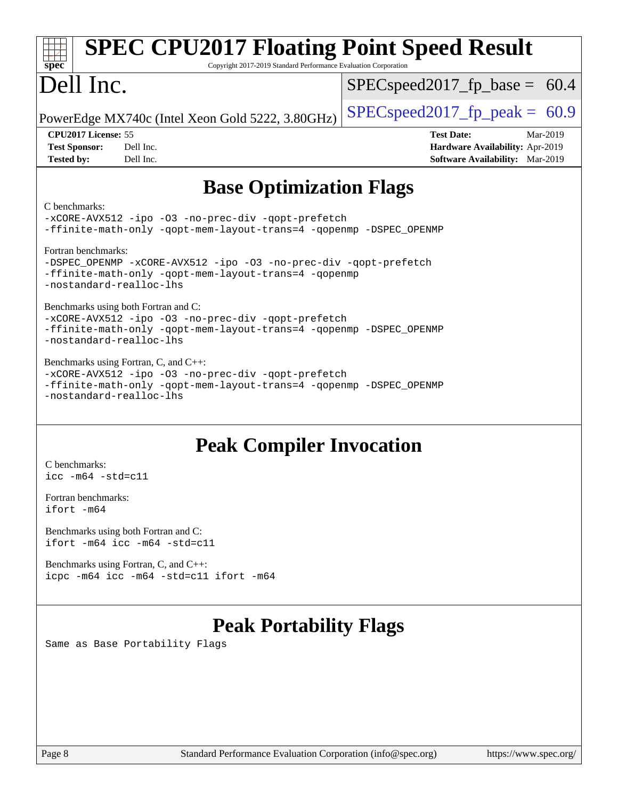| <b>SPEC CPU2017 Floating Point Speed Result</b><br>Copyright 2017-2019 Standard Performance Evaluation Corporation<br>$spec^*$                                                               |                                        |  |  |  |  |  |
|----------------------------------------------------------------------------------------------------------------------------------------------------------------------------------------------|----------------------------------------|--|--|--|--|--|
| Dell Inc.                                                                                                                                                                                    | $SPEC speed2017_f p\_base = 60.4$      |  |  |  |  |  |
| PowerEdge MX740c (Intel Xeon Gold 5222, 3.80GHz)                                                                                                                                             | $SPEC speed2017fp peak = 60.9$         |  |  |  |  |  |
| CPU2017 License: 55                                                                                                                                                                          | <b>Test Date:</b><br>Mar-2019          |  |  |  |  |  |
| <b>Test Sponsor:</b><br>Dell Inc.                                                                                                                                                            | Hardware Availability: Apr-2019        |  |  |  |  |  |
| Dell Inc.<br><b>Tested by:</b>                                                                                                                                                               | <b>Software Availability:</b> Mar-2019 |  |  |  |  |  |
| <b>Base Optimization Flags</b><br>C benchmarks:<br>-xCORE-AVX512 -ipo -03 -no-prec-div -qopt-prefetch                                                                                        |                                        |  |  |  |  |  |
| -ffinite-math-only -qopt-mem-layout-trans=4 -qopenmp -DSPEC_OPENMP                                                                                                                           |                                        |  |  |  |  |  |
| Fortran benchmarks:<br>-DSPEC_OPENMP -xCORE-AVX512 -ipo -03 -no-prec-div -qopt-prefetch<br>-ffinite-math-only -qopt-mem-layout-trans=4 -qopenmp<br>-nostandard-realloc-lhs                   |                                        |  |  |  |  |  |
| Benchmarks using both Fortran and C:<br>-xCORE-AVX512 -ipo -03 -no-prec-div -qopt-prefetch<br>-ffinite-math-only -qopt-mem-layout-trans=4 -qopenmp -DSPEC_OPENMP<br>-nostandard-realloc-lhs  |                                        |  |  |  |  |  |
| Benchmarks using Fortran, C, and C++:<br>-xCORE-AVX512 -ipo -03 -no-prec-div -qopt-prefetch<br>-ffinite-math-only -qopt-mem-layout-trans=4 -qopenmp -DSPEC_OPENMP<br>-nostandard-realloc-lhs |                                        |  |  |  |  |  |
| <b>Peak Compiler Invocation</b>                                                                                                                                                              |                                        |  |  |  |  |  |
| C benchmarks:                                                                                                                                                                                |                                        |  |  |  |  |  |
| $\text{icc -m64 -std=c11}$                                                                                                                                                                   |                                        |  |  |  |  |  |
| Fortran benchmarks:                                                                                                                                                                          |                                        |  |  |  |  |  |

[ifort -m64](http://www.spec.org/cpu2017/results/res2019q3/cpu2017-20190624-15394.flags.html#user_FCpeak_intel_ifort_64bit_24f2bb282fbaeffd6157abe4f878425411749daecae9a33200eee2bee2fe76f3b89351d69a8130dd5949958ce389cf37ff59a95e7a40d588e8d3a57e0c3fd751)

[Benchmarks using both Fortran and C](http://www.spec.org/auto/cpu2017/Docs/result-fields.html#BenchmarksusingbothFortranandC): [ifort -m64](http://www.spec.org/cpu2017/results/res2019q3/cpu2017-20190624-15394.flags.html#user_CC_FCpeak_intel_ifort_64bit_24f2bb282fbaeffd6157abe4f878425411749daecae9a33200eee2bee2fe76f3b89351d69a8130dd5949958ce389cf37ff59a95e7a40d588e8d3a57e0c3fd751) [icc -m64 -std=c11](http://www.spec.org/cpu2017/results/res2019q3/cpu2017-20190624-15394.flags.html#user_CC_FCpeak_intel_icc_64bit_c11_33ee0cdaae7deeeab2a9725423ba97205ce30f63b9926c2519791662299b76a0318f32ddfffdc46587804de3178b4f9328c46fa7c2b0cd779d7a61945c91cd35)

[Benchmarks using Fortran, C, and C++:](http://www.spec.org/auto/cpu2017/Docs/result-fields.html#BenchmarksusingFortranCandCXX) [icpc -m64](http://www.spec.org/cpu2017/results/res2019q3/cpu2017-20190624-15394.flags.html#user_CC_CXX_FCpeak_intel_icpc_64bit_4ecb2543ae3f1412ef961e0650ca070fec7b7afdcd6ed48761b84423119d1bf6bdf5cad15b44d48e7256388bc77273b966e5eb805aefd121eb22e9299b2ec9d9) [icc -m64 -std=c11](http://www.spec.org/cpu2017/results/res2019q3/cpu2017-20190624-15394.flags.html#user_CC_CXX_FCpeak_intel_icc_64bit_c11_33ee0cdaae7deeeab2a9725423ba97205ce30f63b9926c2519791662299b76a0318f32ddfffdc46587804de3178b4f9328c46fa7c2b0cd779d7a61945c91cd35) [ifort -m64](http://www.spec.org/cpu2017/results/res2019q3/cpu2017-20190624-15394.flags.html#user_CC_CXX_FCpeak_intel_ifort_64bit_24f2bb282fbaeffd6157abe4f878425411749daecae9a33200eee2bee2fe76f3b89351d69a8130dd5949958ce389cf37ff59a95e7a40d588e8d3a57e0c3fd751)

# **[Peak Portability Flags](http://www.spec.org/auto/cpu2017/Docs/result-fields.html#PeakPortabilityFlags)**

Same as Base Portability Flags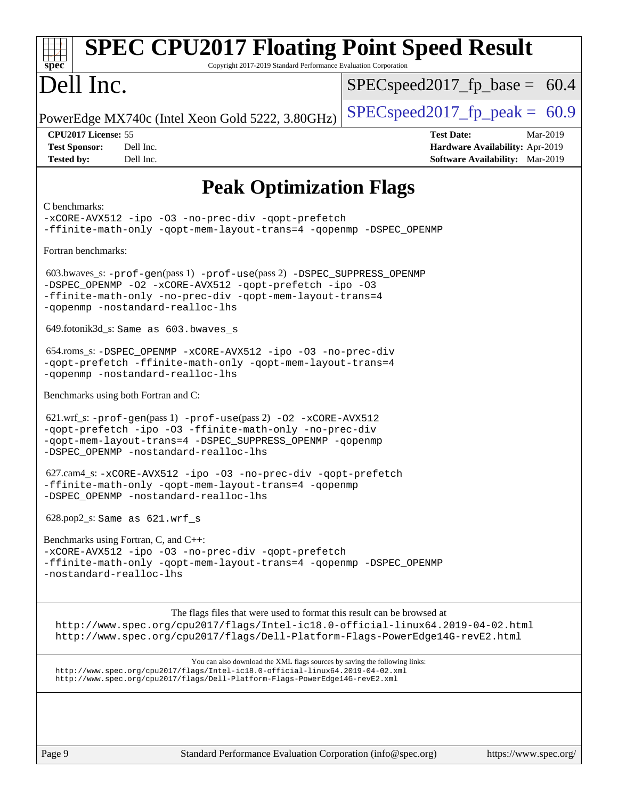| <b>SPEC CPU2017 Floating Point Speed Result</b><br>spec <sup>®</sup><br>Copyright 2017-2019 Standard Performance Evaluation Corporation                                                                                                      |                                                                                                            |
|----------------------------------------------------------------------------------------------------------------------------------------------------------------------------------------------------------------------------------------------|------------------------------------------------------------------------------------------------------------|
| Dell Inc.                                                                                                                                                                                                                                    | $SPEC speed2017_f p\_base = 60.4$                                                                          |
| PowerEdge MX740c (Intel Xeon Gold 5222, 3.80GHz)                                                                                                                                                                                             | $SPEC speed2017_fp\_peak = 60.9$                                                                           |
| CPU2017 License: 55<br><b>Test Sponsor:</b><br>Dell Inc.<br><b>Tested by:</b><br>Dell Inc.                                                                                                                                                   | <b>Test Date:</b><br>Mar-2019<br>Hardware Availability: Apr-2019<br><b>Software Availability:</b> Mar-2019 |
| <b>Peak Optimization Flags</b>                                                                                                                                                                                                               |                                                                                                            |
| C benchmarks:<br>-xCORE-AVX512 -ipo -03 -no-prec-div -qopt-prefetch<br>-ffinite-math-only -qopt-mem-layout-trans=4 -qopenmp -DSPEC_OPENMP                                                                                                    |                                                                                                            |
| Fortran benchmarks:                                                                                                                                                                                                                          |                                                                                                            |
| 603.bwaves_s: -prof-gen(pass 1) -prof-use(pass 2) -DSPEC_SUPPRESS_OPENMP<br>-DSPEC_OPENMP -02 -xCORE-AVX512 -qopt-prefetch -ipo -03<br>-ffinite-math-only -no-prec-div -qopt-mem-layout-trans=4<br>-qopenmp -nostandard-realloc-lhs          |                                                                                                            |
| 649.fotonik3d_s: Same as 603.bwaves_s                                                                                                                                                                                                        |                                                                                                            |
| 654.roms_s: -DSPEC_OPENMP -xCORE-AVX512 -ipo -03 -no-prec-div<br>-qopt-prefetch -ffinite-math-only -qopt-mem-layout-trans=4<br>-qopenmp -nostandard-realloc-lhs                                                                              |                                                                                                            |
| Benchmarks using both Fortran and C:                                                                                                                                                                                                         |                                                                                                            |
| 621.wrf_s: -prof-gen(pass 1) -prof-use(pass 2) -02 -xCORE-AVX512<br>-qopt-prefetch -ipo -03 -ffinite-math-only -no-prec-div<br>-qopt-mem-layout-trans=4 -DSPEC_SUPPRESS_OPENMP -qopenmp<br>-DSPEC_OPENMP -nostandard-realloc-lhs             |                                                                                                            |
| 627.cam4_s: -xCORE-AVX512 -ipo -03 -no-prec-div -qopt-prefetch<br>-ffinite-math-only -qopt-mem-layout-trans=4 -qopenmp<br>-DSPEC_OPENMP -nostandard-realloc-lhs                                                                              |                                                                                                            |
| $628.pop2_s$ : Same as $621.wrf_s$                                                                                                                                                                                                           |                                                                                                            |
| Benchmarks using Fortran, C, and C++:                                                                                                                                                                                                        |                                                                                                            |
| -xCORE-AVX512 -ipo -03 -no-prec-div -qopt-prefetch<br>-ffinite-math-only -qopt-mem-layout-trans=4 -qopenmp -DSPEC_OPENMP<br>-nostandard-realloc-lhs                                                                                          |                                                                                                            |
| The flags files that were used to format this result can be browsed at<br>http://www.spec.org/cpu2017/flags/Intel-ic18.0-official-linux64.2019-04-02.html<br>http://www.spec.org/cpu2017/flags/Dell-Platform-Flags-PowerEdge14G-revE2.html   |                                                                                                            |
| You can also download the XML flags sources by saving the following links:<br>http://www.spec.org/cpu2017/flags/Intel-ic18.0-official-linux64.2019-04-02.xml<br>http://www.spec.org/cpu2017/flags/Dell-Platform-Flags-PowerEdge14G-revE2.xml |                                                                                                            |
|                                                                                                                                                                                                                                              |                                                                                                            |
| Page 9<br>Standard Performance Evaluation Corporation (info@spec.org)                                                                                                                                                                        | https://www.spec.org/                                                                                      |